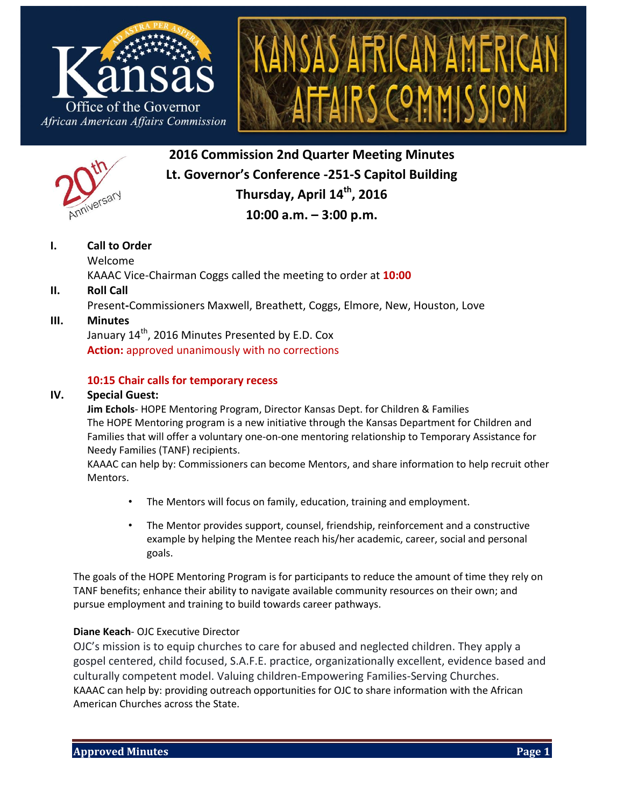





**2016 Commission 2nd Quarter Meeting Minutes Lt. Governor's Conference -251-S Capitol Building Thursday, April 14th , 2016 10:00 a.m. – 3:00 p.m.**

## **I. Call to Order**

Welcome KAAAC Vice-Chairman Coggs called the meeting to order at **10:00**

## **II. Roll Call**

Present**-**Commissioners Maxwell, Breathett, Coggs, Elmore, New, Houston, Love

## **III. Minutes**

January  $14^{\text{th}}$ , 2016 Minutes Presented by E.D. Cox **Action:** approved unanimously with no corrections

## **10:15 Chair calls for temporary recess**

#### **IV. Special Guest:**

**Jim Echols**- HOPE Mentoring Program, Director Kansas Dept. for Children & Families The HOPE Mentoring program is a new initiative through the Kansas Department for Children and Families that will offer a voluntary one-on-one mentoring relationship to Temporary Assistance for Needy Families (TANF) recipients.

KAAAC can help by: Commissioners can become Mentors, and share information to help recruit other Mentors.

- The Mentors will focus on family, education, training and employment.
- The Mentor provides support, counsel, friendship, reinforcement and a constructive example by helping the Mentee reach his/her academic, career, social and personal goals.

The goals of the HOPE Mentoring Program is for participants to reduce the amount of time they rely on TANF benefits; enhance their ability to navigate available community resources on their own; and pursue employment and training to build towards career pathways.

### **Diane Keach**- OJC Executive Director

OJC's mission is to equip churches to care for abused and neglected children. They apply a gospel centered, child focused, S.A.F.E. practice, organizationally excellent, evidence based and culturally competent model. Valuing children-Empowering Families-Serving Churches. KAAAC can help by: providing outreach opportunities for OJC to share information with the African American Churches across the State.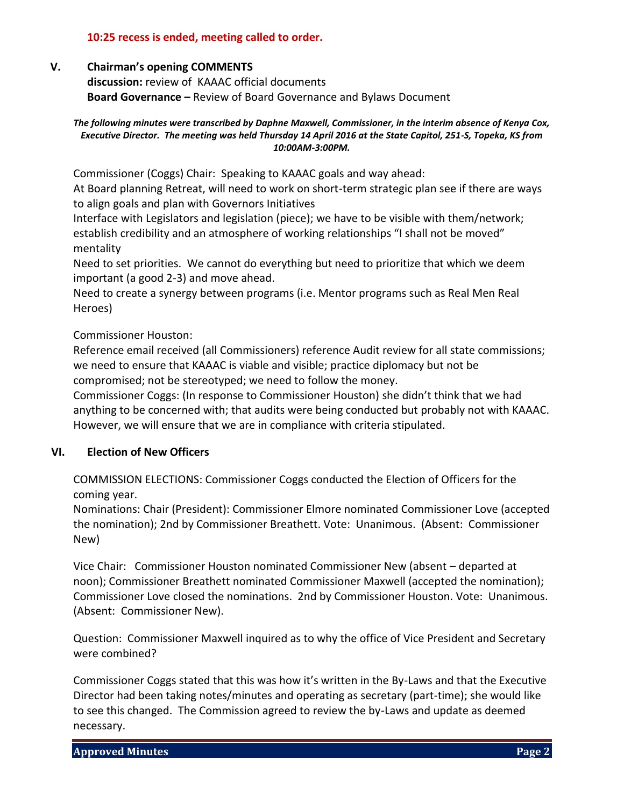### **10:25 recess is ended, meeting called to order.**

#### **V. Chairman's opening COMMENTS**

**discussion:** review of KAAAC official documents **Board Governance –** Review of Board Governance and Bylaws Document

#### *The following minutes were transcribed by Daphne Maxwell, Commissioner, in the interim absence of Kenya Cox, Executive Director. The meeting was held Thursday 14 April 2016 at the State Capitol, 251-S, Topeka, KS from 10:00AM-3:00PM.*

Commissioner (Coggs) Chair: Speaking to KAAAC goals and way ahead:

At Board planning Retreat, will need to work on short-term strategic plan see if there are ways to align goals and plan with Governors Initiatives

Interface with Legislators and legislation (piece); we have to be visible with them/network; establish credibility and an atmosphere of working relationships "I shall not be moved" mentality

Need to set priorities. We cannot do everything but need to prioritize that which we deem important (a good 2-3) and move ahead.

Need to create a synergy between programs (i.e. Mentor programs such as Real Men Real Heroes)

Commissioner Houston:

Reference email received (all Commissioners) reference Audit review for all state commissions; we need to ensure that KAAAC is viable and visible; practice diplomacy but not be compromised; not be stereotyped; we need to follow the money.

Commissioner Coggs: (In response to Commissioner Houston) she didn't think that we had anything to be concerned with; that audits were being conducted but probably not with KAAAC. However, we will ensure that we are in compliance with criteria stipulated.

### **VI. Election of New Officers**

COMMISSION ELECTIONS: Commissioner Coggs conducted the Election of Officers for the coming year.

Nominations: Chair (President): Commissioner Elmore nominated Commissioner Love (accepted the nomination); 2nd by Commissioner Breathett. Vote: Unanimous. (Absent: Commissioner New)

Vice Chair: Commissioner Houston nominated Commissioner New (absent – departed at noon); Commissioner Breathett nominated Commissioner Maxwell (accepted the nomination); Commissioner Love closed the nominations. 2nd by Commissioner Houston. Vote: Unanimous. (Absent: Commissioner New).

Question: Commissioner Maxwell inquired as to why the office of Vice President and Secretary were combined?

Commissioner Coggs stated that this was how it's written in the By-Laws and that the Executive Director had been taking notes/minutes and operating as secretary (part-time); she would like to see this changed. The Commission agreed to review the by-Laws and update as deemed necessary.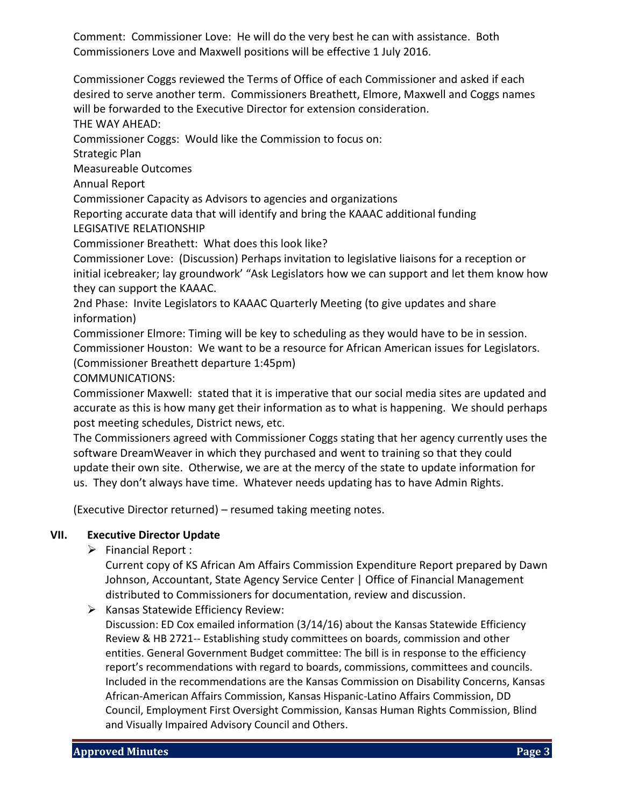Comment: Commissioner Love: He will do the very best he can with assistance. Both Commissioners Love and Maxwell positions will be effective 1 July 2016.

Commissioner Coggs reviewed the Terms of Office of each Commissioner and asked if each desired to serve another term. Commissioners Breathett, Elmore, Maxwell and Coggs names will be forwarded to the Executive Director for extension consideration.

THE WAY AHEAD:

Commissioner Coggs: Would like the Commission to focus on:

Strategic Plan

Measureable Outcomes

Annual Report

Commissioner Capacity as Advisors to agencies and organizations

Reporting accurate data that will identify and bring the KAAAC additional funding LEGISATIVE RELATIONSHIP

Commissioner Breathett: What does this look like?

Commissioner Love: (Discussion) Perhaps invitation to legislative liaisons for a reception or initial icebreaker; lay groundwork' "Ask Legislators how we can support and let them know how they can support the KAAAC.

2nd Phase: Invite Legislators to KAAAC Quarterly Meeting (to give updates and share information)

Commissioner Elmore: Timing will be key to scheduling as they would have to be in session. Commissioner Houston: We want to be a resource for African American issues for Legislators. (Commissioner Breathett departure 1:45pm)

COMMUNICATIONS:

Commissioner Maxwell: stated that it is imperative that our social media sites are updated and accurate as this is how many get their information as to what is happening. We should perhaps post meeting schedules, District news, etc.

The Commissioners agreed with Commissioner Coggs stating that her agency currently uses the software DreamWeaver in which they purchased and went to training so that they could update their own site. Otherwise, we are at the mercy of the state to update information for us. They don't always have time. Whatever needs updating has to have Admin Rights.

(Executive Director returned) – resumed taking meeting notes.

### **VII. Executive Director Update**

 $\triangleright$  Financial Report :

Current copy of KS African Am Affairs Commission Expenditure Report prepared by Dawn Johnson, Accountant, State Agency Service Center | Office of Financial Management distributed to Commissioners for documentation, review and discussion.

 $\triangleright$  Kansas Statewide Efficiency Review:

Discussion: ED Cox emailed information (3/14/16) about the Kansas Statewide Efficiency Review & HB 2721-- Establishing study committees on boards, commission and other entities. General Government Budget committee: The bill is in response to the efficiency report's recommendations with regard to boards, commissions, committees and councils. Included in the recommendations are the Kansas Commission on Disability Concerns, Kansas African-American Affairs Commission, Kansas Hispanic-Latino Affairs Commission, DD Council, Employment First Oversight Commission, Kansas Human Rights Commission, Blind and Visually Impaired Advisory Council and Others.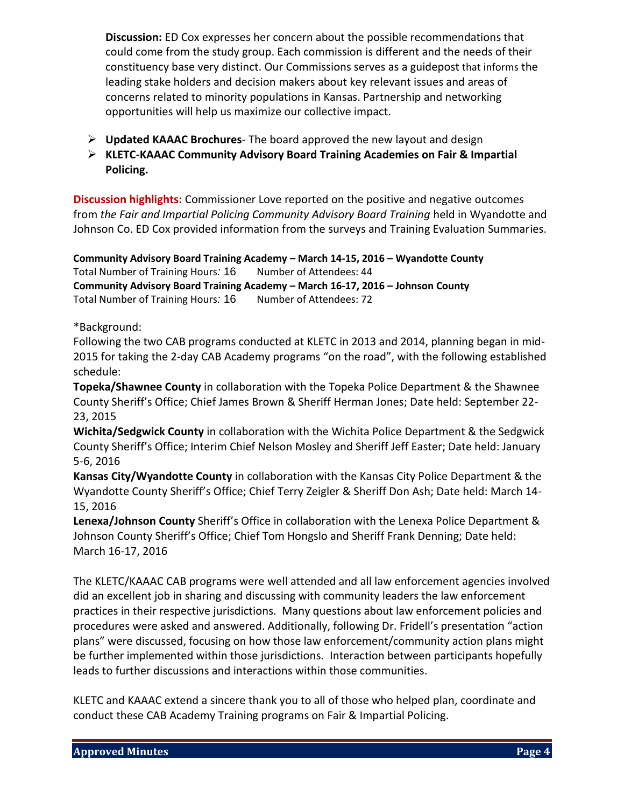**Discussion:** ED Cox expresses her concern about the possible recommendations that could come from the study group. Each commission is different and the needs of their constituency base very distinct. Our Commissions serves as a guidepost that informs the leading stake holders and decision makers about key relevant issues and areas of concerns related to minority populations in Kansas. Partnership and networking opportunities will help us maximize our collective impact.

- **Updated KAAAC Brochures** The board approved the new layout and design
- **KLETC-KAAAC Community Advisory Board Training Academies on Fair & Impartial Policing.**

**Discussion highlights:** Commissioner Love reported on the positive and negative outcomes from *the Fair and Impartial Policing Community Advisory Board Training* held in Wyandotte and Johnson Co. ED Cox provided information from the surveys and Training Evaluation Summaries.

**Community Advisory Board Training Academy – March 14‐15, 2016 – Wyandotte County** Total Number of Training Hours: 16 Number of Attendees: 44 **Community Advisory Board Training Academy – March 16‐17, 2016 – Johnson County** Total Number of Training Hours: 16 Number of Attendees: 72

\*Background:

Following the two CAB programs conducted at KLETC in 2013 and 2014, planning began in mid-2015 for taking the 2-day CAB Academy programs "on the road", with the following established schedule:

**Topeka/Shawnee County** in collaboration with the Topeka Police Department & the Shawnee County Sheriff's Office; Chief James Brown & Sheriff Herman Jones; Date held: September 22- 23, 2015

**Wichita/Sedgwick County** in collaboration with the Wichita Police Department & the Sedgwick County Sheriff's Office; Interim Chief Nelson Mosley and Sheriff Jeff Easter; Date held: January 5-6, 2016

**Kansas City/Wyandotte County** in collaboration with the Kansas City Police Department & the Wyandotte County Sheriff's Office; Chief Terry Zeigler & Sheriff Don Ash; Date held: March 14- 15, 2016

**Lenexa/Johnson County** Sheriff's Office in collaboration with the Lenexa Police Department & Johnson County Sheriff's Office; Chief Tom Hongslo and Sheriff Frank Denning; Date held: March 16-17, 2016

The KLETC/KAAAC CAB programs were well attended and all law enforcement agencies involved did an excellent job in sharing and discussing with community leaders the law enforcement practices in their respective jurisdictions. Many questions about law enforcement policies and procedures were asked and answered. Additionally, following Dr. Fridell's presentation "action plans" were discussed, focusing on how those law enforcement/community action plans might be further implemented within those jurisdictions. Interaction between participants hopefully leads to further discussions and interactions within those communities.

KLETC and KAAAC extend a sincere thank you to all of those who helped plan, coordinate and conduct these CAB Academy Training programs on Fair & Impartial Policing.